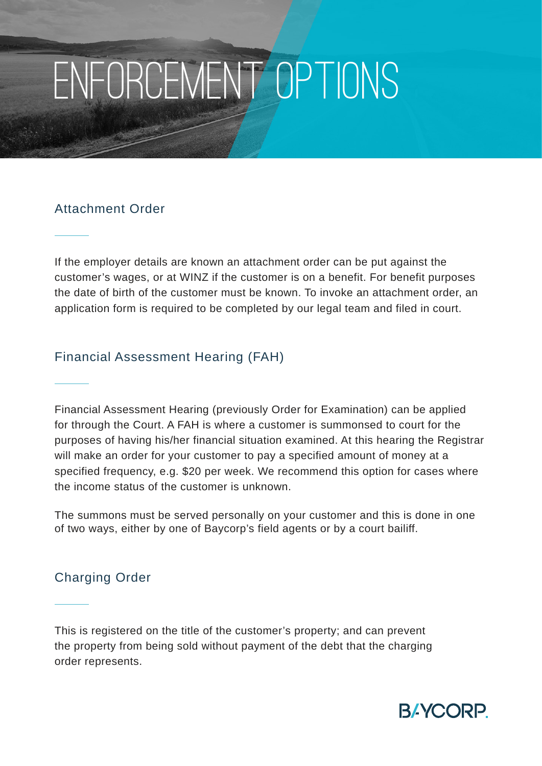# Enforcement Options

## Attachment Order

If the employer details are known an attachment order can be put against the customer's wages, or at WINZ if the customer is on a benefit. For benefit purposes the date of birth of the customer must be known. To invoke an attachment order, an application form is required to be completed by our legal team and filed in court.

## Financial Assessment Hearing (FAH)

Financial Assessment Hearing (previously Order for Examination) can be applied for through the Court. A FAH is where a customer is summonsed to court for the purposes of having his/her financial situation examined. At this hearing the Registrar will make an order for your customer to pay a specified amount of money at a specified frequency, e.g. \$20 per week. We recommend this option for cases where the income status of the customer is unknown.

The summons must be served personally on your customer and this is done in one of two ways, either by one of Baycorp's field agents or by a court bailiff.

# Charging Order

This is registered on the title of the customer's property; and can prevent the property from being sold without payment of the debt that the charging order represents.